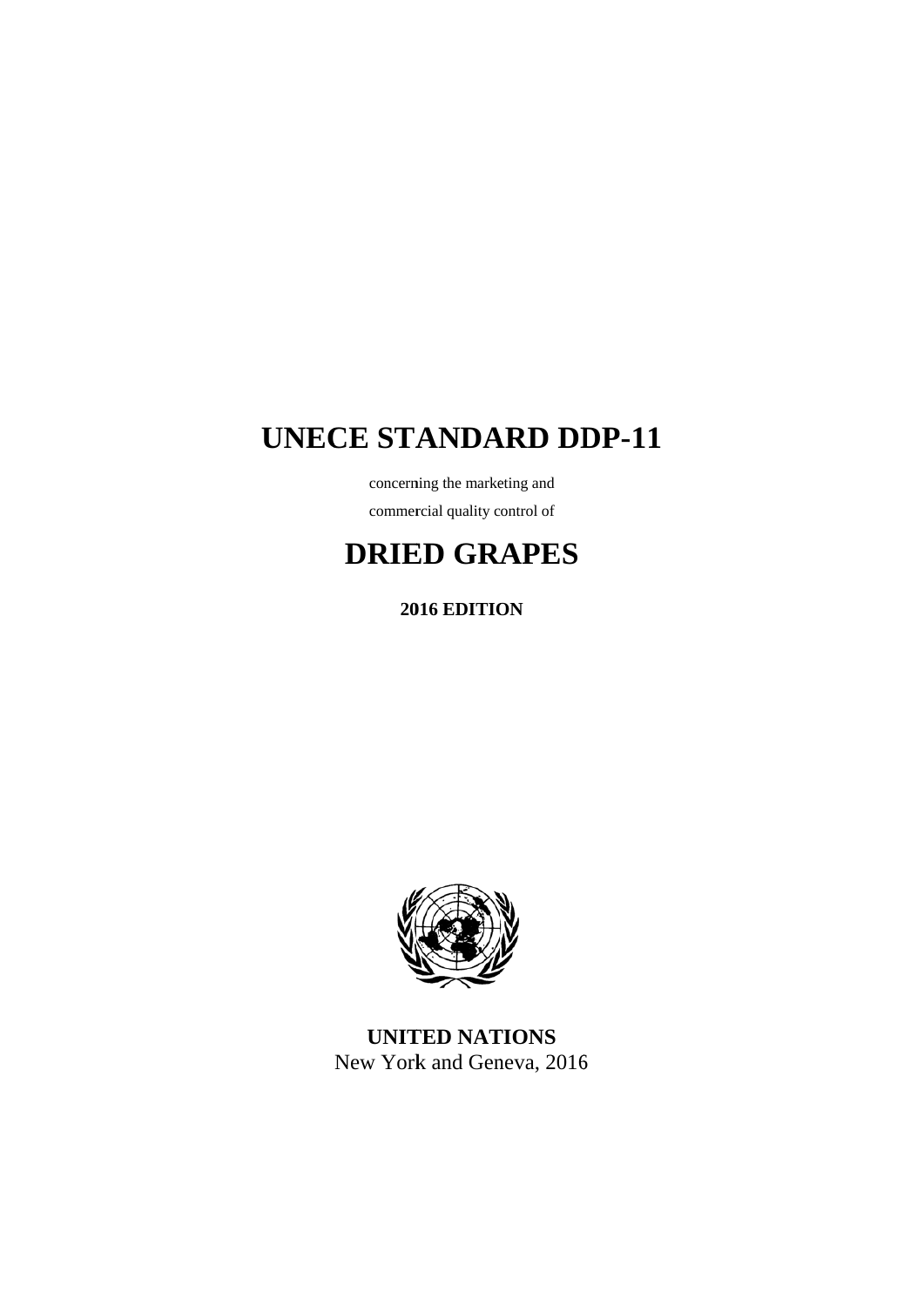# **UNECE STANDARD DDP-11**

concerning the marketing and commercial quality control of

# **DRIE ED GRA APES**

**2016 EDITION** 



**UNITED NATIONS** New York and Geneva, 2016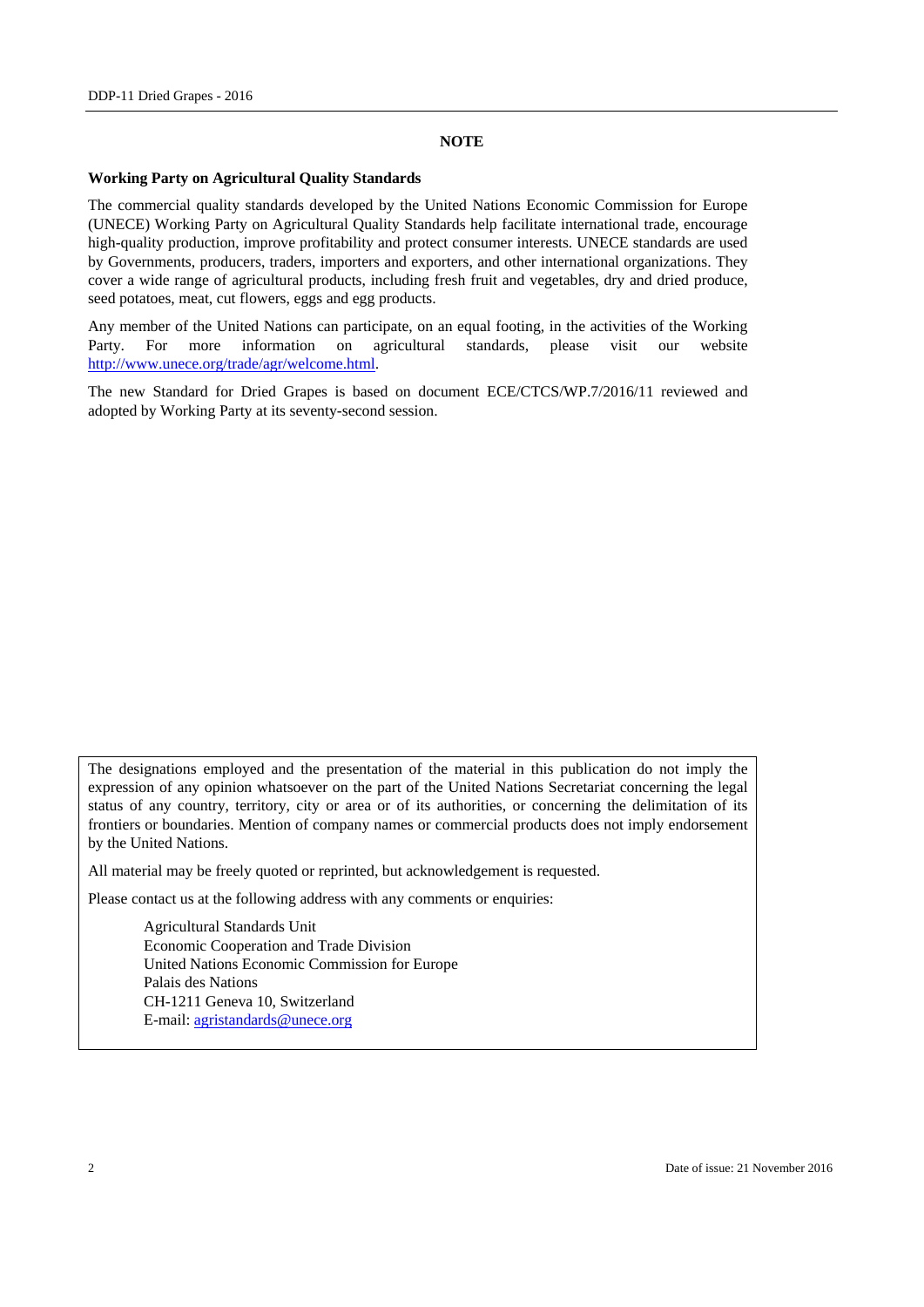#### **NOTE**

#### **Working Party on Agricultural Quality Standards**

The commercial quality standards developed by the United Nations Economic Commission for Europe (UNECE) Working Party on Agricultural Quality Standards help facilitate international trade, encourage high-quality production, improve profitability and protect consumer interests. UNECE standards are used by Governments, producers, traders, importers and exporters, and other international organizations. They cover a wide range of agricultural products, including fresh fruit and vegetables, dry and dried produce, seed potatoes, meat, cut flowers, eggs and egg products.

Any member of the United Nations can participate, on an equal footing, in the activities of the Working Party. For more information on agricultural standards, please visit our website http://www.unece.org/trade/agr/welcome.html.

The new Standard for Dried Grapes is based on document ECE/CTCS/WP.7/2016/11 reviewed and adopted by Working Party at its seventy-second session.

The designations employed and the presentation of the material in this publication do not imply the expression of any opinion whatsoever on the part of the United Nations Secretariat concerning the legal status of any country, territory, city or area or of its authorities, or concerning the delimitation of its frontiers or boundaries. Mention of company names or commercial products does not imply endorsement by the United Nations.

All material may be freely quoted or reprinted, but acknowledgement is requested.

Please contact us at the following address with any comments or enquiries:

 Agricultural Standards Unit Economic Cooperation and Trade Division United Nations Economic Commission for Europe Palais des Nations CH-1211 Geneva 10, Switzerland E-mail: agristandards@unece.org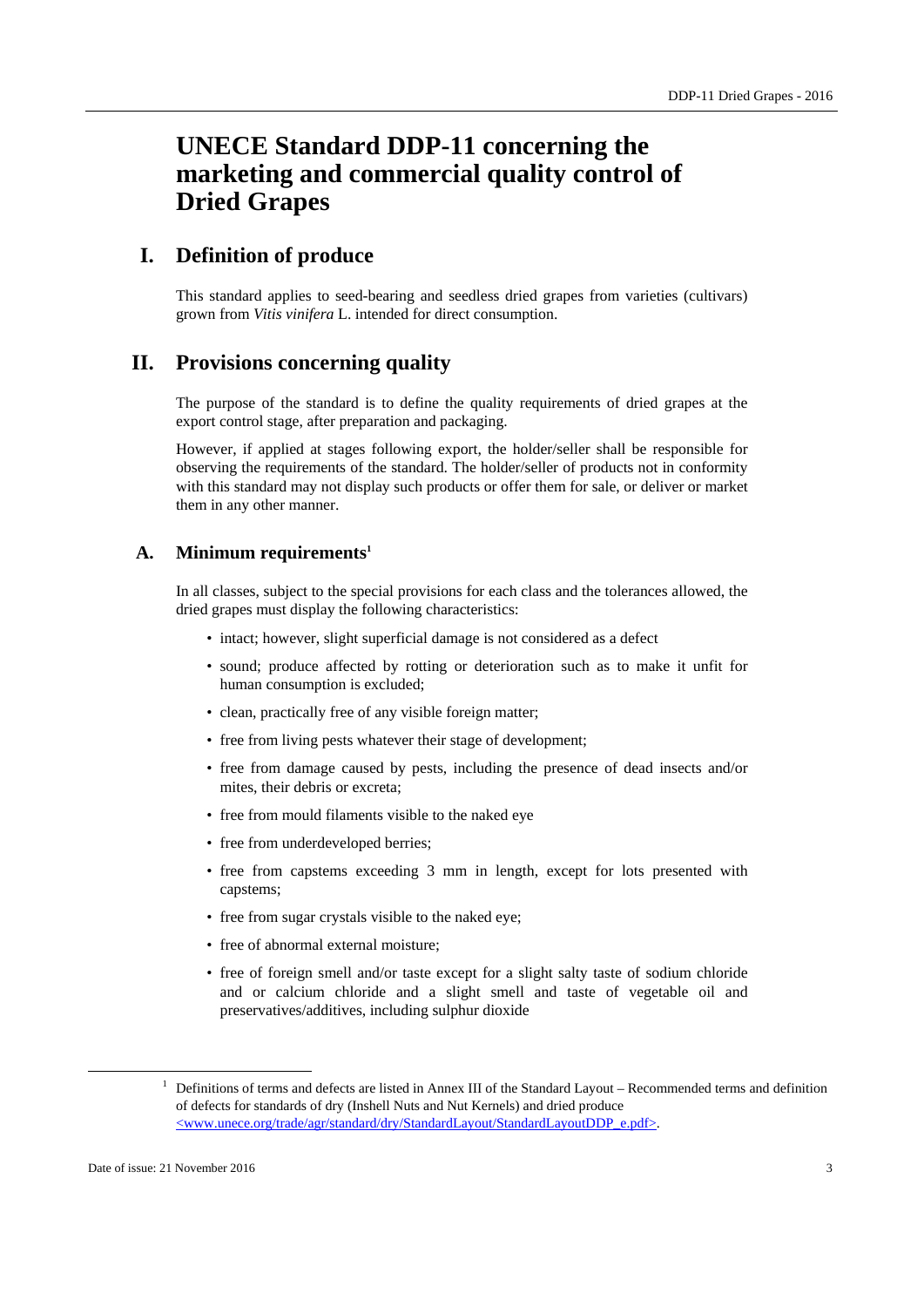# **UNECE Standard DDP-11 concerning the marketing and commercial quality control of Dried Grapes**

## **I. Definition of produce**

This standard applies to seed-bearing and seedless dried grapes from varieties (cultivars) grown from *Vitis vinifera* L. intended for direct consumption.

## **II. Provisions concerning quality**

The purpose of the standard is to define the quality requirements of dried grapes at the export control stage, after preparation and packaging.

However, if applied at stages following export, the holder/seller shall be responsible for observing the requirements of the standard. The holder/seller of products not in conformity with this standard may not display such products or offer them for sale, or deliver or market them in any other manner.

#### **A. Minimum requirements1**

In all classes, subject to the special provisions for each class and the tolerances allowed, the dried grapes must display the following characteristics:

- intact; however, slight superficial damage is not considered as a defect
- sound; produce affected by rotting or deterioration such as to make it unfit for human consumption is excluded;
- clean, practically free of any visible foreign matter;
- free from living pests whatever their stage of development;
- free from damage caused by pests, including the presence of dead insects and/or mites, their debris or excreta;
- free from mould filaments visible to the naked eye
- free from underdeveloped berries;
- free from capstems exceeding 3 mm in length, except for lots presented with capstems;
- free from sugar crystals visible to the naked eye;
- free of abnormal external moisture:
- free of foreign smell and/or taste except for a slight salty taste of sodium chloride and or calcium chloride and a slight smell and taste of vegetable oil and preservatives/additives, including sulphur dioxide

<sup>&</sup>lt;u>1</u>  $1$  Definitions of terms and defects are listed in Annex III of the Standard Layout – Recommended terms and definition of defects for standards of dry (Inshell Nuts and Nut Kernels) and dried produce <www.unece.org/trade/agr/standard/dry/StandardLayout/StandardLayoutDDP\_e.pdf>.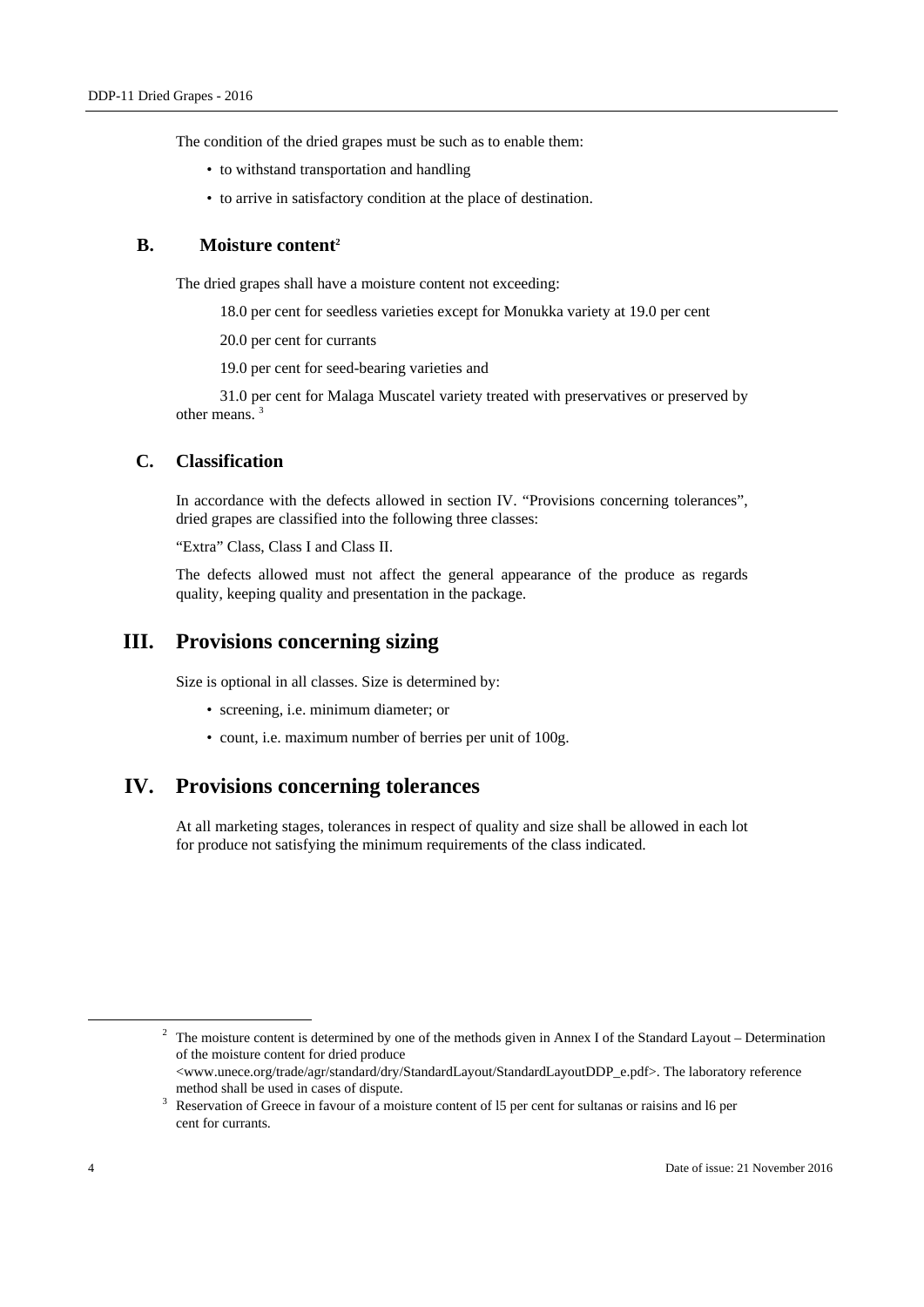The condition of the dried grapes must be such as to enable them:

- to withstand transportation and handling
- to arrive in satisfactory condition at the place of destination.

#### **B.** Moisture content<sup>2</sup>

The dried grapes shall have a moisture content not exceeding:

- 18.0 per cent for seedless varieties except for Monukka variety at 19.0 per cent
- 20.0 per cent for currants

19.0 per cent for seed-bearing varieties and

31.0 per cent for Malaga Muscatel variety treated with preservatives or preserved by other means. 3

### **C. Classification**

In accordance with the defects allowed in section IV. "Provisions concerning tolerances", dried grapes are classified into the following three classes:

"Extra" Class, Class I and Class II.

The defects allowed must not affect the general appearance of the produce as regards quality, keeping quality and presentation in the package.

# **III. Provisions concerning sizing**

Size is optional in all classes. Size is determined by:

- screening, i.e. minimum diameter; or
- count, i.e. maximum number of berries per unit of 100g.

# **IV. Provisions concerning tolerances**

At all marketing stages, tolerances in respect of quality and size shall be allowed in each lot for produce not satisfying the minimum requirements of the class indicated.

 2  $\frac{1}{2}$  The moisture content is determined by one of the methods given in Annex I of the Standard Layout – Determination of the moisture content for dried produce <www.unece.org/trade/agr/standard/dry/StandardLayout/StandardLayoutDDP\_e.pdf>. The laboratory reference method shall be used in cases of dispute.

<sup>&</sup>lt;sup>3</sup> Reservation of Greece in favour of a moisture content of 15 per cent for sultanas or raisins and 16 per cent for currants.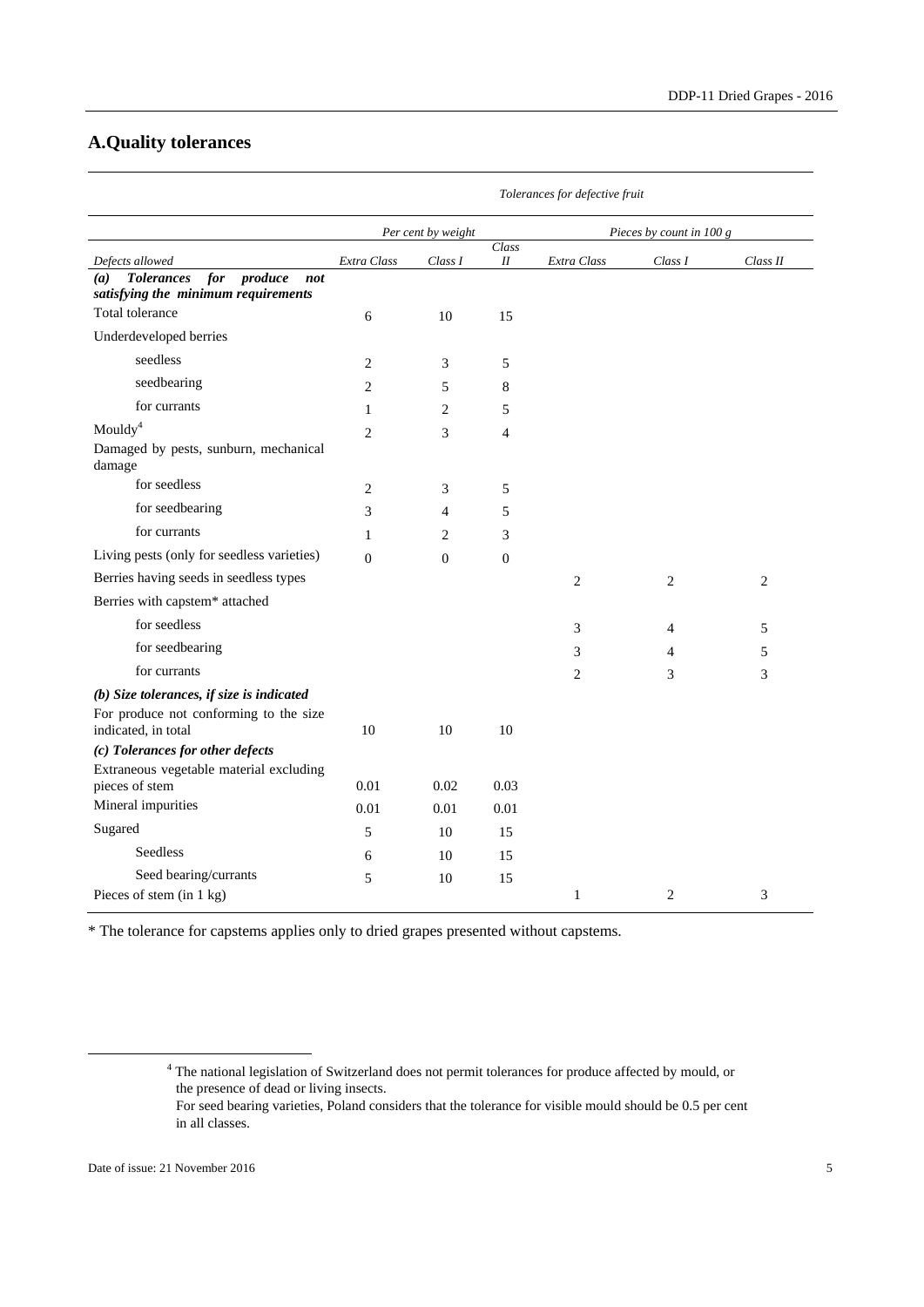# **A.Quality tolerances**

|                                                               | Tolerances for defective fruit |                |                |                          |         |          |
|---------------------------------------------------------------|--------------------------------|----------------|----------------|--------------------------|---------|----------|
|                                                               | Per cent by weight             |                |                | Pieces by count in 100 g |         |          |
| Defects allowed                                               | Extra Class                    | Class I        | Class<br>Н     | Extra Class              | Class I | Class II |
| <b>Tolerances</b><br>for<br>produce<br>(a)<br>not             |                                |                |                |                          |         |          |
| satisfying the minimum requirements<br>Total tolerance        |                                |                |                |                          |         |          |
|                                                               | 6                              | 10             | 15             |                          |         |          |
| Underdeveloped berries                                        |                                |                |                |                          |         |          |
| seedless                                                      | $\overline{c}$                 | $\mathfrak{Z}$ | 5              |                          |         |          |
| seedbearing                                                   | 2                              | 5              | 8              |                          |         |          |
| for currants                                                  | 1                              | $\overline{2}$ | 5              |                          |         |          |
| Moudy <sup>4</sup>                                            | 2                              | 3              | $\overline{4}$ |                          |         |          |
| Damaged by pests, sunburn, mechanical<br>damage               |                                |                |                |                          |         |          |
| for seedless                                                  | 2                              | 3              | 5              |                          |         |          |
| for seedbearing                                               | 3                              | $\overline{4}$ | 5              |                          |         |          |
| for currants                                                  | 1                              | 2              | 3              |                          |         |          |
| Living pests (only for seedless varieties)                    | $\theta$                       | $\theta$       | $\mathbf{0}$   |                          |         |          |
| Berries having seeds in seedless types                        |                                |                |                | $\overline{c}$           | 2       | 2        |
| Berries with capstem* attached                                |                                |                |                |                          |         |          |
| for seedless                                                  |                                |                |                | 3                        | 4       | 5        |
| for seedbearing                                               |                                |                |                | 3                        | 4       | 5        |
| for currants                                                  |                                |                |                | 2                        | 3       | 3        |
| (b) Size tolerances, if size is indicated                     |                                |                |                |                          |         |          |
| For produce not conforming to the size<br>indicated, in total | 10                             | 10             | 10             |                          |         |          |
| (c) Tolerances for other defects                              |                                |                |                |                          |         |          |
| Extraneous vegetable material excluding                       |                                |                |                |                          |         |          |
| pieces of stem                                                | 0.01                           | 0.02           | 0.03           |                          |         |          |
| Mineral impurities                                            | 0.01                           | 0.01           | 0.01           |                          |         |          |
| Sugared                                                       | 5                              | 10             | 15             |                          |         |          |
| Seedless                                                      | 6                              | 10             | 15             |                          |         |          |
| Seed bearing/currants                                         | 5                              | 10             | 15             |                          |         |          |
| Pieces of stem (in 1 kg)                                      |                                |                |                | $\mathbf{1}$             | 2       | 3        |

\* The tolerance for capstems applies only to dried grapes presented without capstems.

 <sup>4</sup> The national legislation of Switzerland does not permit tolerances for produce affected by mould, or the presence of dead or living insects.

For seed bearing varieties, Poland considers that the tolerance for visible mould should be 0.5 per cent in all classes.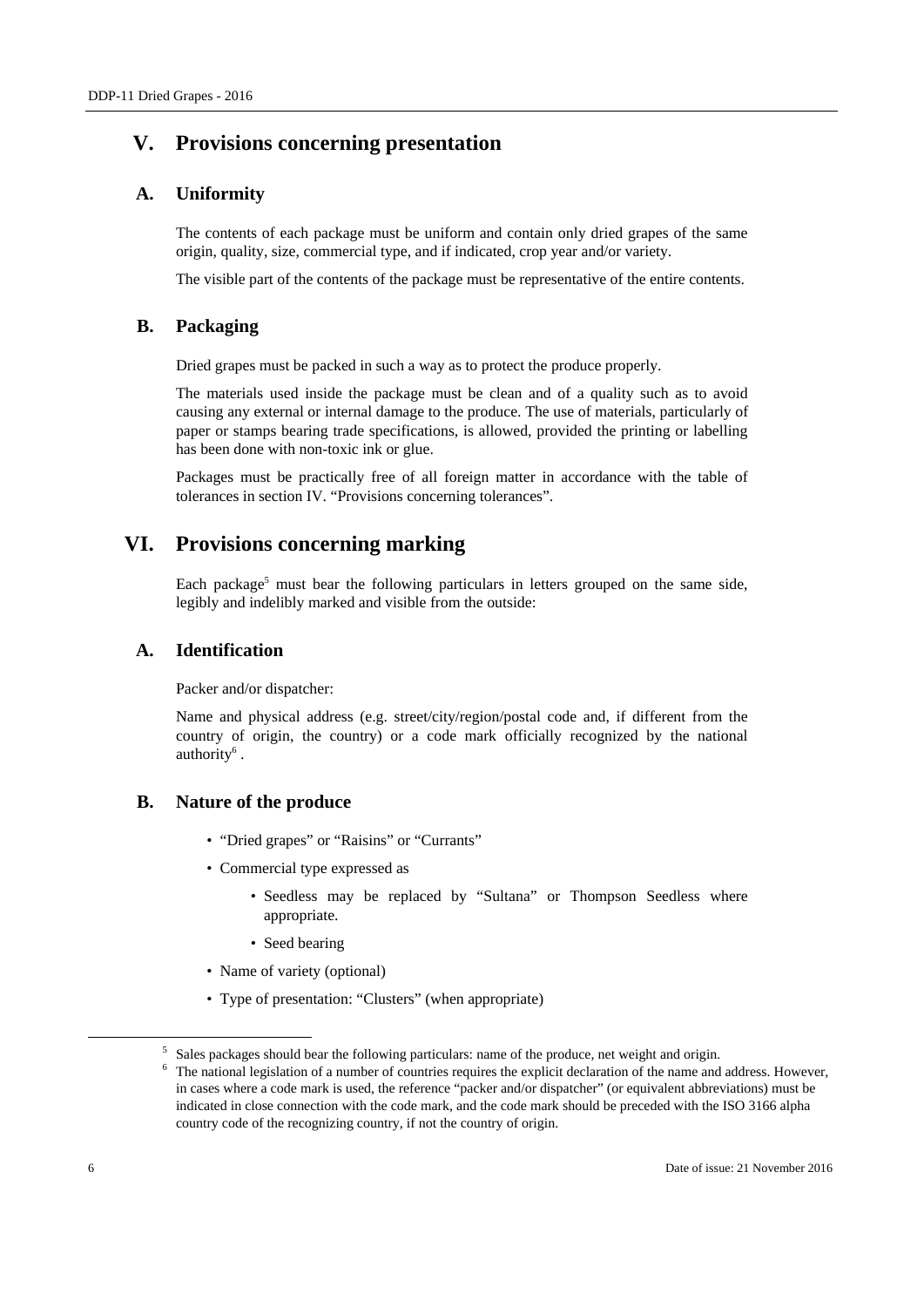# **V. Provisions concerning presentation**

## **A. Uniformity**

The contents of each package must be uniform and contain only dried grapes of the same origin, quality, size, commercial type, and if indicated, crop year and/or variety.

The visible part of the contents of the package must be representative of the entire contents.

## **B. Packaging**

Dried grapes must be packed in such a way as to protect the produce properly.

The materials used inside the package must be clean and of a quality such as to avoid causing any external or internal damage to the produce. The use of materials, particularly of paper or stamps bearing trade specifications, is allowed, provided the printing or labelling has been done with non-toxic ink or glue.

Packages must be practically free of all foreign matter in accordance with the table of tolerances in section IV. "Provisions concerning tolerances".

# **VI. Provisions concerning marking**

Each package<sup>5</sup> must bear the following particulars in letters grouped on the same side, legibly and indelibly marked and visible from the outside:

### **A. Identification**

Packer and/or dispatcher:

Name and physical address (e.g. street/city/region/postal code and, if different from the country of origin, the country) or a code mark officially recognized by the national authority<sup>6</sup>.

## **B. Nature of the produce**

- "Dried grapes" or "Raisins" or "Currants"
- Commercial type expressed as
	- Seedless may be replaced by "Sultana" or Thompson Seedless where appropriate.
	- Seed bearing
- Name of variety (optional)
- Type of presentation: "Clusters" (when appropriate)

 $\overline{\phantom{0}}$  $\frac{5}{5}$  Sales packages should bear the following particulars: name of the produce, net weight and origin.

The national legislation of a number of countries requires the explicit declaration of the name and address. However, in cases where a code mark is used, the reference "packer and/or dispatcher" (or equivalent abbreviations) must be indicated in close connection with the code mark, and the code mark should be preceded with the ISO 3166 alpha country code of the recognizing country, if not the country of origin.